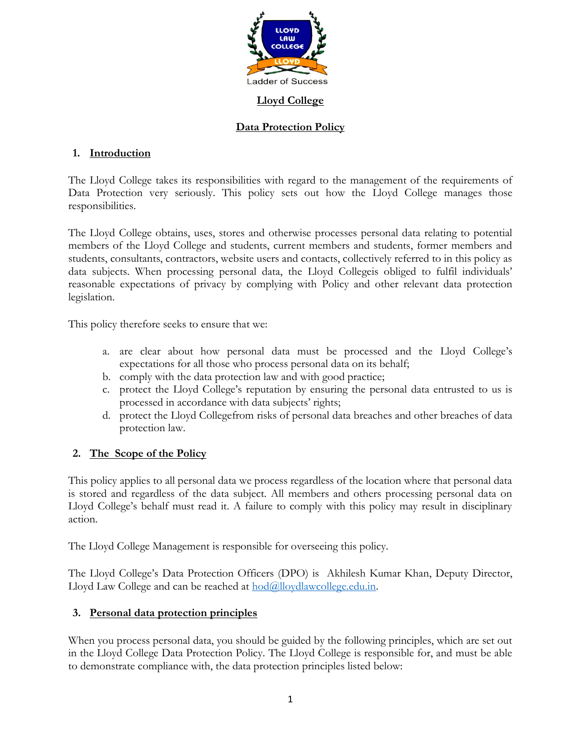

#### **Lloyd College**

## **Data Protection Policy**

## **1. Introduction**

The Lloyd College takes its responsibilities with regard to the management of the requirements of Data Protection very seriously. This policy sets out how the Lloyd College manages those responsibilities.

The Lloyd College obtains, uses, stores and otherwise processes personal data relating to potential members of the Lloyd College and students, current members and students, former members and students, consultants, contractors, website users and contacts, collectively referred to in this policy as data subjects. When processing personal data, the Lloyd Collegeis obliged to fulfil individuals' reasonable expectations of privacy by complying with Policy and other relevant data protection legislation.

This policy therefore seeks to ensure that we:

- a. are clear about how personal data must be processed and the Lloyd College's expectations for all those who process personal data on its behalf;
- b. comply with the data protection law and with good practice;
- c. protect the Lloyd College's reputation by ensuring the personal data entrusted to us is processed in accordance with data subjects' rights;
- d. protect the Lloyd Collegefrom risks of personal data breaches and other breaches of data protection law.

# **2. The Scope of the Policy**

This policy applies to all personal data we process regardless of the location where that personal data is stored and regardless of the data subject. All members and others processing personal data on Lloyd College's behalf must read it. A failure to comply with this policy may result in disciplinary action.

The Lloyd College Management is responsible for overseeing this policy.

The Lloyd College's Data Protection Officers (DPO) is Akhilesh Kumar Khan, Deputy Director, Lloyd Law College and can be reached at  $\text{hod}\textcircled{a}$ lloydlawcollege.edu.in.

# **3. Personal data protection principles**

When you process personal data, you should be guided by the following principles, which are set out in the Lloyd College Data Protection Policy. The Lloyd College is responsible for, and must be able to demonstrate compliance with, the data protection principles listed below: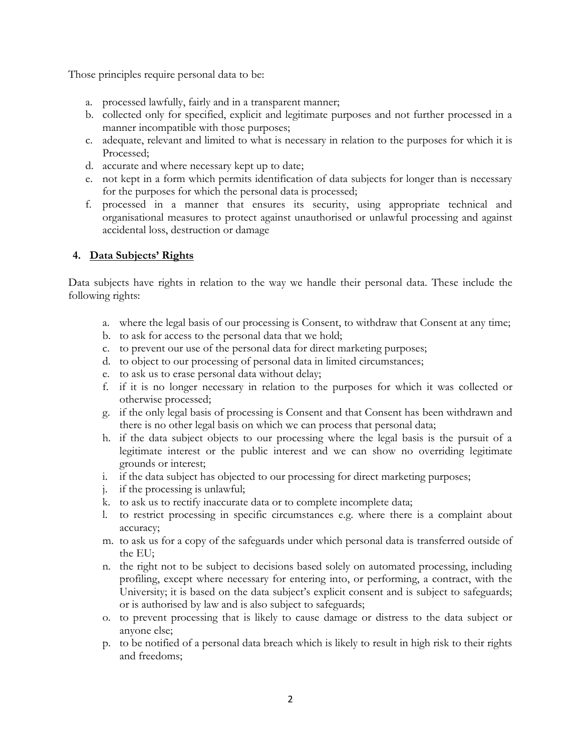Those principles require personal data to be:

- a. processed lawfully, fairly and in a transparent manner;
- b. collected only for specified, explicit and legitimate purposes and not further processed in a manner incompatible with those purposes;
- c. adequate, relevant and limited to what is necessary in relation to the purposes for which it is Processed;
- d. accurate and where necessary kept up to date;
- e. not kept in a form which permits identification of data subjects for longer than is necessary for the purposes for which the personal data is processed;
- f. processed in a manner that ensures its security, using appropriate technical and organisational measures to protect against unauthorised or unlawful processing and against accidental loss, destruction or damage

## **4. Data Subjects' Rights**

Data subjects have rights in relation to the way we handle their personal data. These include the following rights:

- a. where the legal basis of our processing is Consent, to withdraw that Consent at any time;
- b. to ask for access to the personal data that we hold;
- c. to prevent our use of the personal data for direct marketing purposes;
- d. to object to our processing of personal data in limited circumstances;
- e. to ask us to erase personal data without delay;
- f. if it is no longer necessary in relation to the purposes for which it was collected or otherwise processed;
- g. if the only legal basis of processing is Consent and that Consent has been withdrawn and there is no other legal basis on which we can process that personal data;
- h. if the data subject objects to our processing where the legal basis is the pursuit of a legitimate interest or the public interest and we can show no overriding legitimate grounds or interest;
- i. if the data subject has objected to our processing for direct marketing purposes;
- j. if the processing is unlawful;
- k. to ask us to rectify inaccurate data or to complete incomplete data;
- l. to restrict processing in specific circumstances e.g. where there is a complaint about accuracy;
- m. to ask us for a copy of the safeguards under which personal data is transferred outside of the EU;
- n. the right not to be subject to decisions based solely on automated processing, including profiling, except where necessary for entering into, or performing, a contract, with the University; it is based on the data subject's explicit consent and is subject to safeguards; or is authorised by law and is also subject to safeguards;
- o. to prevent processing that is likely to cause damage or distress to the data subject or anyone else;
- p. to be notified of a personal data breach which is likely to result in high risk to their rights and freedoms;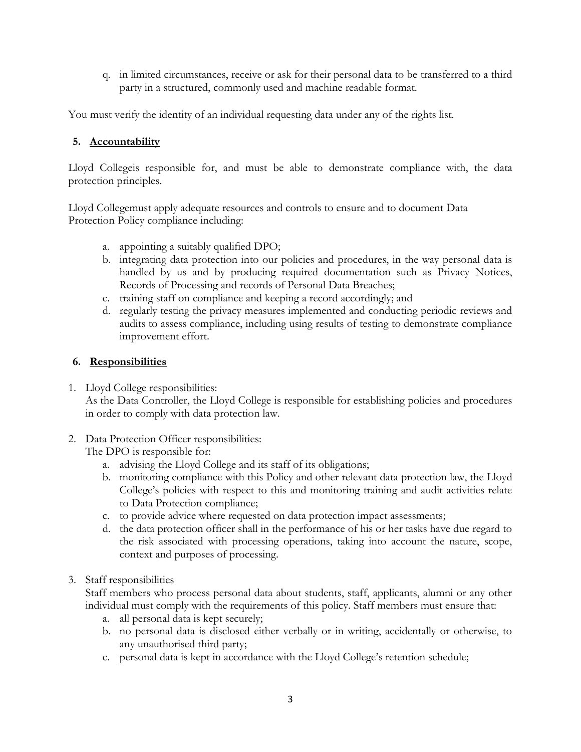q. in limited circumstances, receive or ask for their personal data to be transferred to a third party in a structured, commonly used and machine readable format.

You must verify the identity of an individual requesting data under any of the rights list.

## **5. Accountability**

Lloyd Collegeis responsible for, and must be able to demonstrate compliance with, the data protection principles.

Lloyd Collegemust apply adequate resources and controls to ensure and to document Data Protection Policy compliance including:

- a. appointing a suitably qualified DPO;
- b. integrating data protection into our policies and procedures, in the way personal data is handled by us and by producing required documentation such as Privacy Notices, Records of Processing and records of Personal Data Breaches;
- c. training staff on compliance and keeping a record accordingly; and
- d. regularly testing the privacy measures implemented and conducting periodic reviews and audits to assess compliance, including using results of testing to demonstrate compliance improvement effort.

#### **6. Responsibilities**

- 1. Lloyd College responsibilities: As the Data Controller, the Lloyd College is responsible for establishing policies and procedures in order to comply with data protection law.
- 2. Data Protection Officer responsibilities:

The DPO is responsible for:

- a. advising the Lloyd College and its staff of its obligations;
- b. monitoring compliance with this Policy and other relevant data protection law, the Lloyd College's policies with respect to this and monitoring training and audit activities relate to Data Protection compliance;
- c. to provide advice where requested on data protection impact assessments;
- d. the data protection officer shall in the performance of his or her tasks have due regard to the risk associated with processing operations, taking into account the nature, scope, context and purposes of processing.
- 3. Staff responsibilities

Staff members who process personal data about students, staff, applicants, alumni or any other individual must comply with the requirements of this policy. Staff members must ensure that:

- a. all personal data is kept securely;
- b. no personal data is disclosed either verbally or in writing, accidentally or otherwise, to any unauthorised third party;
- c. personal data is kept in accordance with the Lloyd College's retention schedule;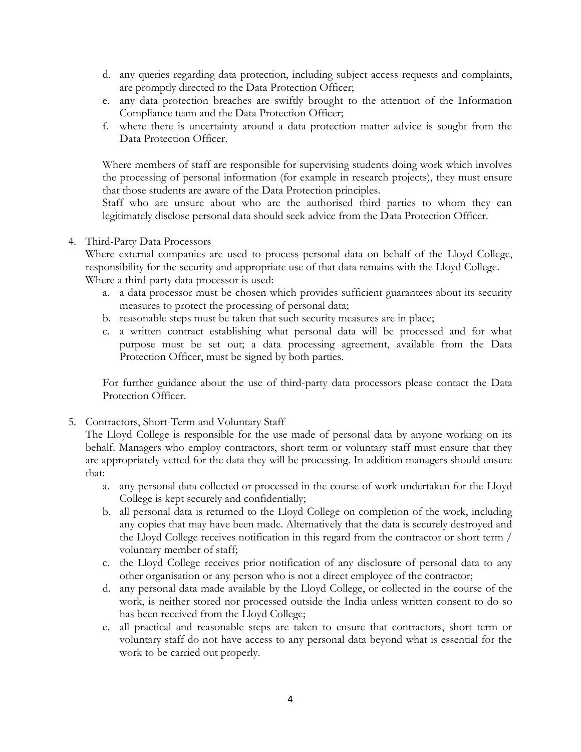- d. any queries regarding data protection, including subject access requests and complaints, are promptly directed to the Data Protection Officer;
- e. any data protection breaches are swiftly brought to the attention of the Information Compliance team and the Data Protection Officer;
- f. where there is uncertainty around a data protection matter advice is sought from the Data Protection Officer.

Where members of staff are responsible for supervising students doing work which involves the processing of personal information (for example in research projects), they must ensure that those students are aware of the Data Protection principles.

Staff who are unsure about who are the authorised third parties to whom they can legitimately disclose personal data should seek advice from the Data Protection Officer.

#### 4. Third-Party Data Processors

Where external companies are used to process personal data on behalf of the Lloyd College, responsibility for the security and appropriate use of that data remains with the Lloyd College. Where a third-party data processor is used:

- a. a data processor must be chosen which provides sufficient guarantees about its security measures to protect the processing of personal data;
- b. reasonable steps must be taken that such security measures are in place;
- c. a written contract establishing what personal data will be processed and for what purpose must be set out; a data processing agreement, available from the Data Protection Officer, must be signed by both parties.

For further guidance about the use of third-party data processors please contact the Data Protection Officer.

5. Contractors, Short-Term and Voluntary Staff

The Lloyd College is responsible for the use made of personal data by anyone working on its behalf. Managers who employ contractors, short term or voluntary staff must ensure that they are appropriately vetted for the data they will be processing. In addition managers should ensure that:

- a. any personal data collected or processed in the course of work undertaken for the Lloyd College is kept securely and confidentially;
- b. all personal data is returned to the Lloyd College on completion of the work, including any copies that may have been made. Alternatively that the data is securely destroyed and the Lloyd College receives notification in this regard from the contractor or short term / voluntary member of staff;
- c. the Lloyd College receives prior notification of any disclosure of personal data to any other organisation or any person who is not a direct employee of the contractor;
- d. any personal data made available by the Lloyd College, or collected in the course of the work, is neither stored nor processed outside the India unless written consent to do so has been received from the Lloyd College;
- e. all practical and reasonable steps are taken to ensure that contractors, short term or voluntary staff do not have access to any personal data beyond what is essential for the work to be carried out properly.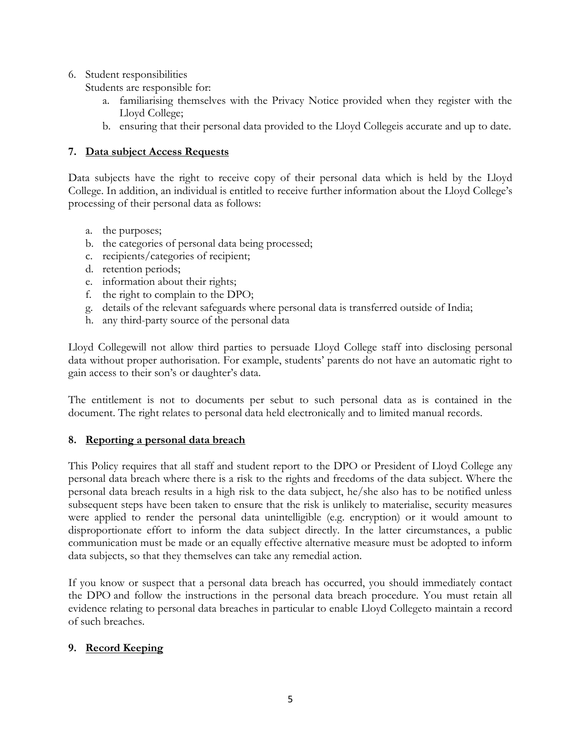6. Student responsibilities

Students are responsible for:

- a. familiarising themselves with the Privacy Notice provided when they register with the Lloyd College;
- b. ensuring that their personal data provided to the Lloyd Collegeis accurate and up to date.

# **7. Data subject Access Requests**

Data subjects have the right to receive copy of their personal data which is held by the Lloyd College. In addition, an individual is entitled to receive further information about the Lloyd College's processing of their personal data as follows:

- a. the purposes;
- b. the categories of personal data being processed;
- c. recipients/categories of recipient;
- d. retention periods;
- e. information about their rights;
- f. the right to complain to the DPO;
- g. details of the relevant safeguards where personal data is transferred outside of India;
- h. any third-party source of the personal data

Lloyd Collegewill not allow third parties to persuade Lloyd College staff into disclosing personal data without proper authorisation. For example, students' parents do not have an automatic right to gain access to their son's or daughter's data.

The entitlement is not to documents per sebut to such personal data as is contained in the document. The right relates to personal data held electronically and to limited manual records.

# **8. Reporting a personal data breach**

This Policy requires that all staff and student report to the DPO or President of Lloyd College any personal data breach where there is a risk to the rights and freedoms of the data subject. Where the personal data breach results in a high risk to the data subject, he/she also has to be notified unless subsequent steps have been taken to ensure that the risk is unlikely to materialise, security measures were applied to render the personal data unintelligible (e.g. encryption) or it would amount to disproportionate effort to inform the data subject directly. In the latter circumstances, a public communication must be made or an equally effective alternative measure must be adopted to inform data subjects, so that they themselves can take any remedial action.

If you know or suspect that a personal data breach has occurred, you should immediately contact the DPO and follow the instructions in the personal data breach procedure. You must retain all evidence relating to personal data breaches in particular to enable Lloyd Collegeto maintain a record of such breaches.

# **9. Record Keeping**